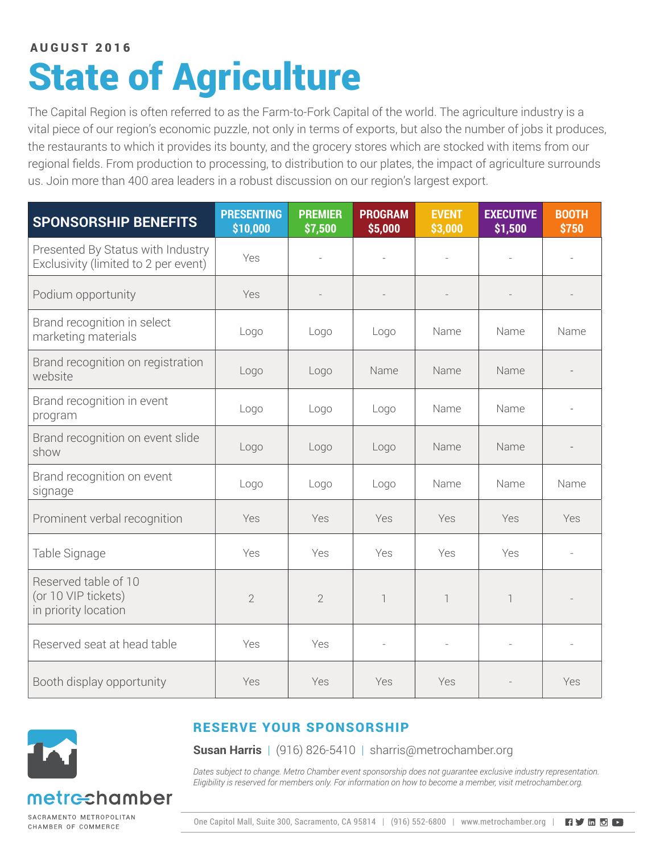### State of Agriculture AUGUST 2016

The Capital Region is often referred to as the Farm-to-Fork Capital of the world. The agriculture industry is a vital piece of our region's economic puzzle, not only in terms of exports, but also the number of jobs it produces, the restaurants to which it provides its bounty, and the grocery stores which are stocked with items from our regional fields. From production to processing, to distribution to our plates, the impact of agriculture surrounds us. Join more than 400 area leaders in a robust discussion on our region's largest export.

| <b>SPONSORSHIP BENEFITS</b>                                               | <b>PRESENTING</b><br>\$10,000 | <b>PREMIER</b><br>\$7,500 | <b>PROGRAM</b><br>\$5,000 | <b>EVENT</b><br>\$3,000  | <b>EXECUTIVE</b><br>\$1,500 | <b>BOOTH</b><br>\$750 |
|---------------------------------------------------------------------------|-------------------------------|---------------------------|---------------------------|--------------------------|-----------------------------|-----------------------|
| Presented By Status with Industry<br>Exclusivity (limited to 2 per event) | Yes                           |                           |                           | $\overline{\phantom{a}}$ |                             |                       |
| Podium opportunity                                                        | Yes                           |                           |                           |                          |                             |                       |
| Brand recognition in select<br>marketing materials                        | Logo                          | Logo                      | Logo                      | Name                     | Name                        | Name                  |
| Brand recognition on registration<br>website                              | Logo                          | Logo                      | Name                      | Name                     | Name                        |                       |
| Brand recognition in event<br>program                                     | Logo                          | Logo                      | Logo                      | Name                     | Name                        |                       |
| Brand recognition on event slide<br>show                                  | Logo                          | Logo                      | Logo                      | Name                     | Name                        |                       |
| Brand recognition on event<br>signage                                     | Logo                          | Logo                      | Logo                      | Name                     | Name                        | Name                  |
| Prominent verbal recognition                                              | Yes                           | Yes                       | Yes                       | Yes                      | Yes                         | Yes                   |
| Table Signage                                                             | Yes                           | Yes                       | Yes                       | Yes                      | Yes                         |                       |
| Reserved table of 10<br>(or 10 VIP tickets)<br>in priority location       | $\overline{2}$                | $\overline{2}$            | $\overline{\phantom{a}}$  | $\overline{\phantom{a}}$ | 1                           |                       |
| Reserved seat at head table                                               | Yes                           | Yes                       | $\bar{a}$                 | $\bar{a}$                |                             |                       |
| Booth display opportunity                                                 | Yes                           | Yes                       | Yes                       | Yes                      |                             | Yes                   |



#### RESERVE YOUR SPONSORSHIP

**Susan Harris** | (916) 826-5410 | sharris@metrochamber.org

*Dates subject to change. Metro Chamber event sponsorship does not guarantee exclusive industry representation. Eligibility is reserved for members only. For information on how to become a member, visit metrochamber.org.*

SACRAMENTO METROPOLITAN CHAMBER OF COMMERCE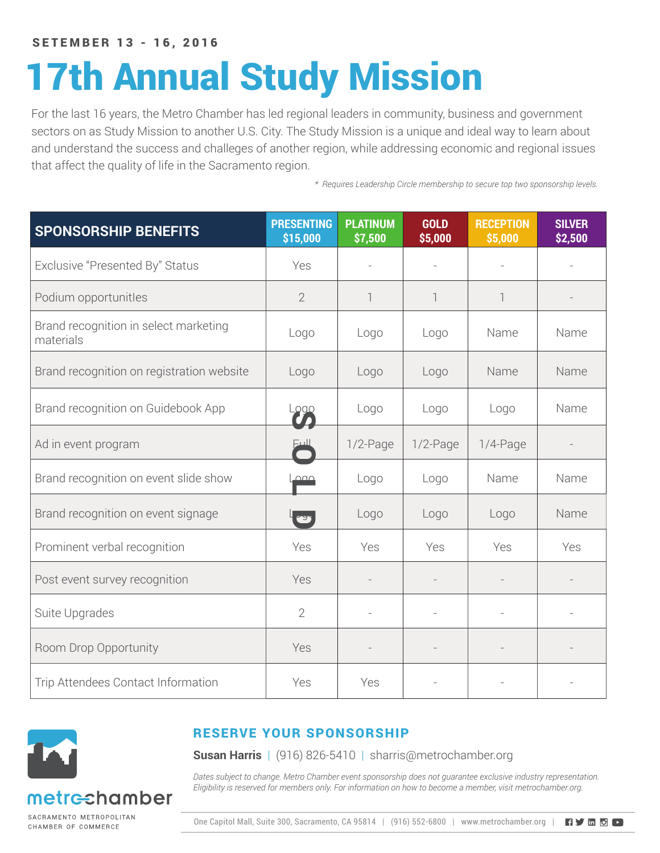SETEMBER 13 - 16, 2016

# 17th Annual Study Mission

For the last 16 years, the Metro Chamber has led regional leaders in community, business and government sectors on as Study Mission to another U.S. City. The Study Mission is a unique and ideal way to learn about and understand the success and challeges of another region, while addressing economic and regional issues that affect the quality of life in the Sacramento region.

*\* Requires Leadership Circle membership to secure top two sponsorship levels.*

| <b>SPONSORSHIP BENEFITS</b>                        | <b>PRESENTING</b><br>\$15,000 | <b>PLATINUM</b><br>\$7,500 | <b>GOLD</b><br>\$5,000   | <b>RECEPTION</b><br>\$5,000 | <b>SILVER</b><br>\$2,500 |
|----------------------------------------------------|-------------------------------|----------------------------|--------------------------|-----------------------------|--------------------------|
| Exclusive "Presented By" Status                    | Yes                           |                            | $\overline{a}$           |                             |                          |
| Podium opportunitles                               | $\overline{2}$                | 1                          | $\overline{\phantom{a}}$ |                             |                          |
| Brand recognition in select marketing<br>materials | Logo                          | Logo                       | Logo                     | Name                        | Name                     |
| Brand recognition on registration website          | Logo                          | Logo                       | Logo                     | Name                        | Name                     |
| Brand recognition on Guidebook App                 | Logo                          | Logo                       | Logo                     | Logo                        | Name                     |
| Ad in event program                                |                               | $1/2$ -Page                | $1/2$ -Page              | $1/4$ -Page                 |                          |
| Brand recognition on event slide show              | $\overline{\phantom{a}}$      | Logo                       | Logo                     | Name                        | Name                     |
| Brand recognition on event signage                 | <b>TES</b>                    | Logo                       | Logo                     | Logo                        | Name                     |
| Prominent verbal recognition                       | Yes                           | Yes                        | Yes                      | Yes                         | Yes                      |
| Post event survey recognition                      | Yes                           |                            |                          |                             |                          |
| Suite Upgrades                                     | $\overline{2}$                |                            |                          |                             |                          |
| Room Drop Opportunity                              | Yes                           |                            |                          |                             |                          |
| Trip Attendees Contact Information                 | Yes                           | Yes                        |                          |                             |                          |



#### RESERVE YOUR SPONSORSHIP

**Susan Harris** | (916) 826-5410 | sharris@metrochamber.org

*Dates subject to change. Metro Chamber event sponsorship does not guarantee exclusive industry representation. Eligibility is reserved for members only. For information on how to become a member, visit metrochamber.org.*

SACRAMENTO METROPOLITAN CHAMBER OF COMMERCE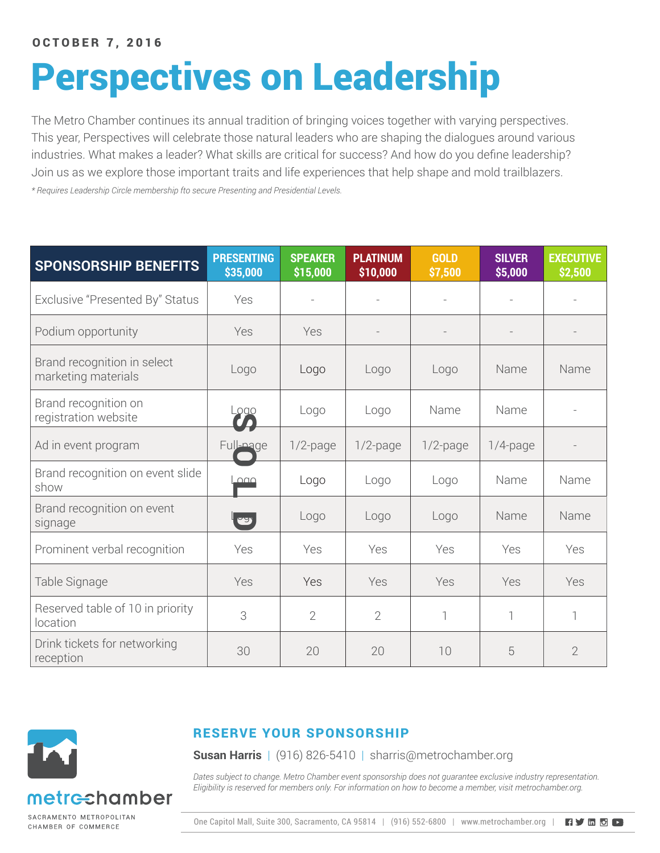# Perspectives on Leadership

The Metro Chamber continues its annual tradition of bringing voices together with varying perspectives. This year, Perspectives will celebrate those natural leaders who are shaping the dialogues around various industries. What makes a leader? What skills are critical for success? And how do you define leadership? Join us as we explore those important traits and life experiences that help shape and mold trailblazers.

*\* Requires Leadership Circle membership fto secure Presenting and Presidential Levels.*

| <b>SPONSORSHIP BENEFITS</b>                        | <b>PRESENTING</b><br>\$35,000 | <b>SPEAKER</b><br>\$15,000 | <b>PLATINUM</b><br>\$10,000 | <b>GOLD</b><br>\$7,500 | <b>SILVER</b><br>\$5,000 | <b>EXECUTIVE</b><br>\$2,500 |
|----------------------------------------------------|-------------------------------|----------------------------|-----------------------------|------------------------|--------------------------|-----------------------------|
| Exclusive "Presented By" Status                    | Yes                           | $\overline{\phantom{a}}$   |                             |                        |                          | $\overline{\phantom{a}}$    |
| Podium opportunity                                 | Yes                           | Yes                        |                             |                        |                          |                             |
| Brand recognition in select<br>marketing materials | Logo                          | Logo                       | Logo                        | Logo                   | Name                     | Name                        |
| Brand recognition on<br>registration website       | Logo                          | Logo                       | Logo                        | Name                   | Name                     |                             |
| Ad in event program                                | Full-nage                     | $1/2$ -page                | $1/2$ -page                 | $1/2$ -page            | $1/4$ -page              |                             |
| Brand recognition on event slide<br>show           | $\overline{\triangle}$        | Logo                       | Logo                        | Logo                   | Name                     | Name                        |
| Brand recognition on event<br>signage              | $\bullet$                     | Logo                       | Logo                        | Logo                   | Name                     | Name                        |
| Prominent verbal recognition                       | Yes                           | Yes                        | Yes                         | Yes                    | Yes                      | Yes                         |
| Table Signage                                      | Yes                           | Yes                        | Yes                         | Yes                    | Yes                      | Yes                         |
| Reserved table of 10 in priority<br>location       | 3                             | $\overline{2}$             | $\overline{2}$              | 1                      | $\overline{\phantom{a}}$ | $\overline{\phantom{a}}$    |
| Drink tickets for networking<br>reception          | 30                            | 20                         | 20                          | 10                     | 5                        | $\overline{2}$              |



RESERVE YOUR SPONSORSHIP

**Susan Harris** | (916) 826-5410 | sharris@metrochamber.org

*Dates subject to change. Metro Chamber event sponsorship does not guarantee exclusive industry representation. Eligibility is reserved for members only. For information on how to become a member, visit metrochamber.org.*

SACRAMENTO METROPOLITAN CHAMBER OF COMMERCE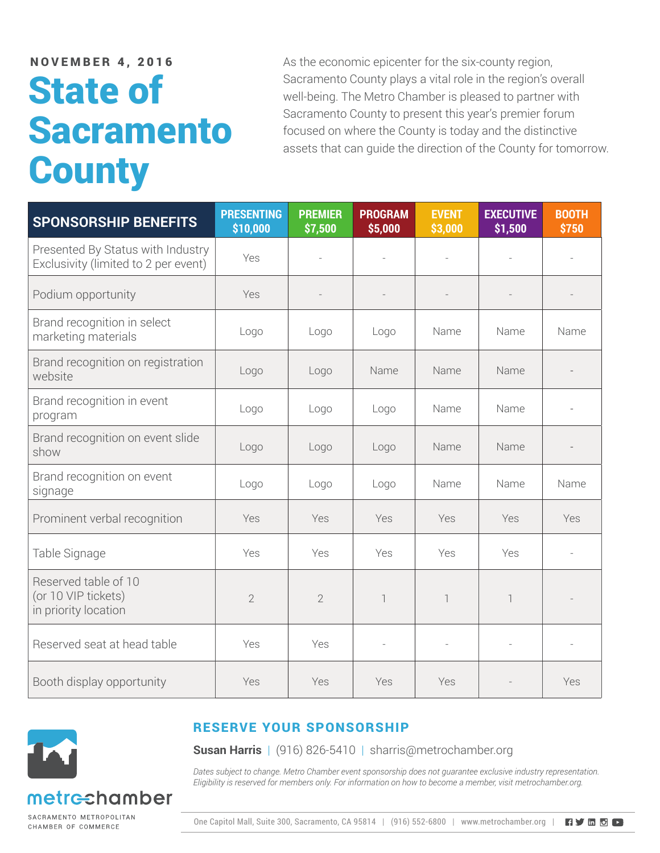## State of Sacramento **County**

NOVEMBER 4, 2016 As the economic epicenter for the six-county region, Sacramento County plays a vital role in the region's overall well-being. The Metro Chamber is pleased to partner with Sacramento County to present this year's premier forum focused on where the County is today and the distinctive assets that can guide the direction of the County for tomorrow.

| <b>SPONSORSHIP BENEFITS</b>                                               | <b>PRESENTING</b><br>\$10,000 | <b>PREMIER</b><br>\$7,500 | <b>PROGRAM</b><br>\$5,000 | <b>EVENT</b><br>\$3,000   | <b>EXECUTIVE</b><br>\$1,500 | <b>BOOTH</b><br>\$750 |
|---------------------------------------------------------------------------|-------------------------------|---------------------------|---------------------------|---------------------------|-----------------------------|-----------------------|
| Presented By Status with Industry<br>Exclusivity (limited to 2 per event) | Yes                           |                           |                           |                           |                             |                       |
| Podium opportunity                                                        | Yes                           |                           |                           | $\frac{1}{2}$             |                             |                       |
| Brand recognition in select<br>marketing materials                        | Logo                          | Logo                      | Logo                      | Name                      | Name                        | Name                  |
| Brand recognition on registration<br>website                              | Logo                          | Logo                      | Name                      | Name                      | Name                        |                       |
| Brand recognition in event<br>program                                     | Logo                          | Logo                      | Logo                      | Name                      | Name                        |                       |
| Brand recognition on event slide<br>show                                  | Logo                          | Logo                      | Logo                      | Name                      | Name                        |                       |
| Brand recognition on event<br>signage                                     | Logo                          | Logo                      | Logo                      | Name                      | Name                        | Name                  |
| Prominent verbal recognition                                              | Yes                           | Yes                       | Yes                       | Yes                       | Yes                         | Yes                   |
| Table Signage                                                             | Yes                           | Yes                       | Yes                       | Yes                       | Yes                         |                       |
| Reserved table of 10<br>(or 10 VIP tickets)<br>in priority location       | $\overline{2}$                | $\overline{2}$            | 1                         | $\ensuremath{\mathsf{I}}$ |                             |                       |
| Reserved seat at head table                                               | Yes                           | Yes                       | $\overline{\phantom{a}}$  | ÷,                        |                             |                       |
| Booth display opportunity                                                 | Yes                           | Yes                       | Yes                       | Yes                       |                             | Yes                   |



#### RESERVE YOUR SPONSORSHIP

**Susan Harris** | (916) 826-5410 | sharris@metrochamber.org

*Dates subject to change. Metro Chamber event sponsorship does not guarantee exclusive industry representation. Eligibility is reserved for members only. For information on how to become a member, visit metrochamber.org.*

SACRAMENTO METROPOLITAN CHAMBER OF COMMERCE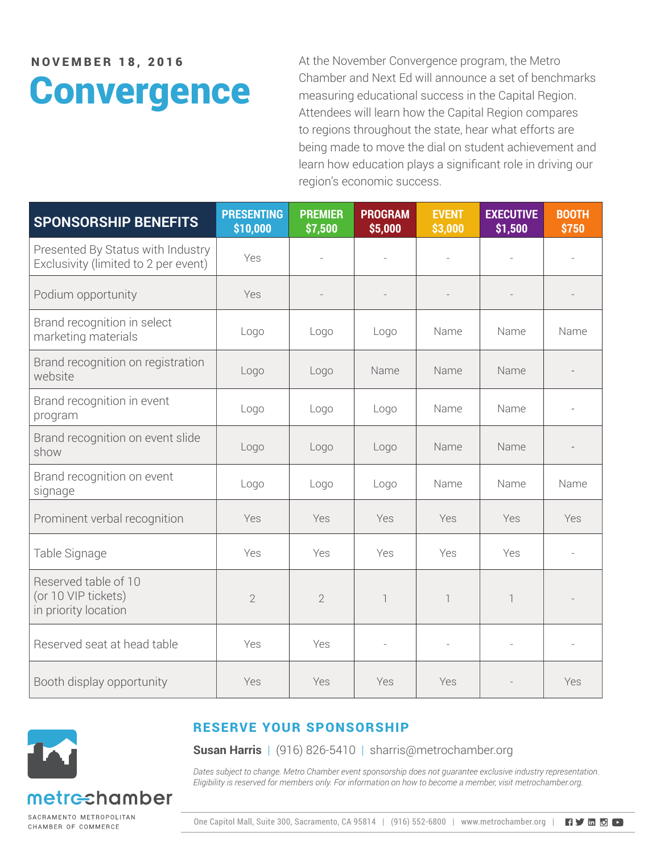# **Convergence**

NOVEMBER 18. 2016 At the November Convergence program, the Metro Chamber and Next Ed will announce a set of benchmarks measuring educational success in the Capital Region. Attendees will learn how the Capital Region compares to regions throughout the state, hear what efforts are being made to move the dial on student achievement and learn how education plays a significant role in driving our region's economic success.

| <b>SPONSORSHIP BENEFITS</b>                                               | <b>PRESENTING</b><br>\$10,000 | <b>PREMIER</b><br>\$7,500 | <b>PROGRAM</b><br>\$5,000 | <b>EVENT</b><br>\$3,000  | <b>EXECUTIVE</b><br>\$1,500 | <b>BOOTH</b><br>\$750 |
|---------------------------------------------------------------------------|-------------------------------|---------------------------|---------------------------|--------------------------|-----------------------------|-----------------------|
| Presented By Status with Industry<br>Exclusivity (limited to 2 per event) | Yes                           |                           | L,                        | $\overline{\phantom{a}}$ |                             |                       |
| Podium opportunity                                                        | Yes                           |                           |                           |                          |                             |                       |
| Brand recognition in select<br>marketing materials                        | Logo                          | Logo                      | Logo                      | Name                     | Name                        | Name                  |
| Brand recognition on registration<br>website                              | Logo                          | Logo                      | Name                      | Name                     | Name                        |                       |
| Brand recognition in event<br>program                                     | Logo                          | Logo                      | Logo                      | Name                     | Name                        |                       |
| Brand recognition on event slide<br>show                                  | Logo                          | Logo                      | Logo                      | Name                     | Name                        |                       |
| Brand recognition on event<br>signage                                     | Logo                          | Logo                      | Logo                      | Name                     | Name                        | Name                  |
| Prominent verbal recognition                                              | Yes                           | Yes                       | Yes                       | Yes                      | Yes                         | Yes                   |
| Table Signage                                                             | Yes                           | Yes                       | Yes                       | Yes                      | Yes                         |                       |
| Reserved table of 10<br>(or 10 VIP tickets)<br>in priority location       | $\overline{2}$                | $\overline{2}$            | $\overline{\phantom{a}}$  | $\overline{\phantom{a}}$ | 1                           |                       |
| Reserved seat at head table                                               | Yes                           | Yes                       |                           |                          |                             |                       |
| Booth display opportunity                                                 | Yes                           | Yes                       | Yes                       | Yes                      |                             | Yes                   |



#### RESERVE YOUR SPONSORSHIP

**Susan Harris** | (916) 826-5410 | sharris@metrochamber.org

*Dates subject to change. Metro Chamber event sponsorship does not guarantee exclusive industry representation. Eligibility is reserved for members only. For information on how to become a member, visit metrochamber.org.*

SACRAMENTO METROPOLITAN CHAMBER OF COMMERCE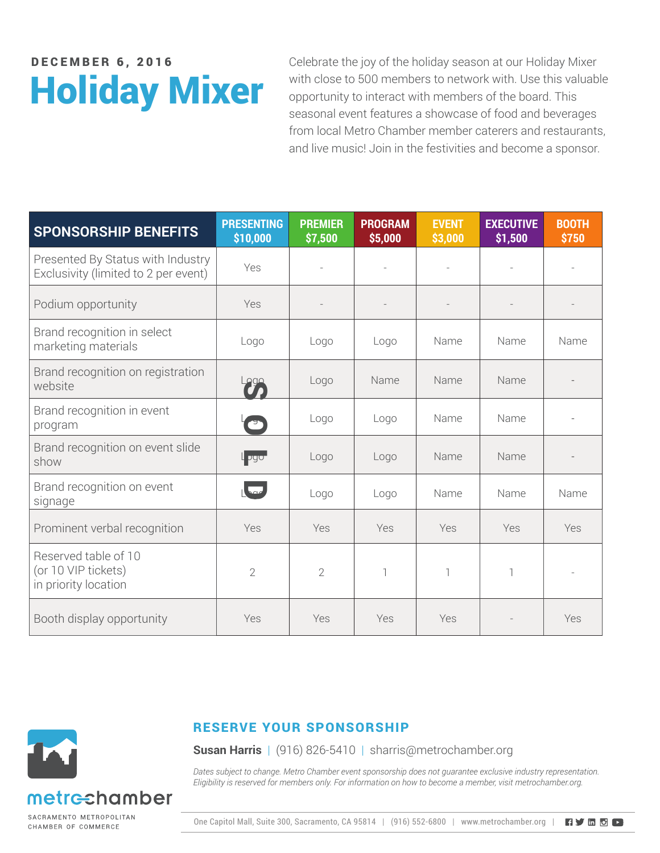# Holiday Mixer

**DECEMBER 6, 2016** Celebrate the joy of the holiday season at our Holiday Mixer with close to 500 members to network with. Use this valuable opportunity to interact with members of the board. This seasonal event features a showcase of food and beverages from local Metro Chamber member caterers and restaurants, and live music! Join in the festivities and become a sponsor.

| <b>SPONSORSHIP BENEFITS</b>                                               | <b>PRESENTING</b><br>\$10,000 | <b>PREMIER</b><br>\$7,500 | <b>PROGRAM</b><br>\$5,000 | <b>EVENT</b><br>\$3,000 | <b>EXECUTIVE</b><br>\$1,500 | <b>BOOTH</b><br>\$750 |
|---------------------------------------------------------------------------|-------------------------------|---------------------------|---------------------------|-------------------------|-----------------------------|-----------------------|
| Presented By Status with Industry<br>Exclusivity (limited to 2 per event) | Yes                           |                           |                           |                         |                             |                       |
| Podium opportunity                                                        | Yes                           |                           |                           |                         |                             |                       |
| Brand recognition in select<br>marketing materials                        | Logo                          | Logo                      | Logo                      | Name                    | Name                        | Name                  |
| Brand recognition on registration<br>website                              |                               | Logo                      | Name                      | Name                    | Name                        |                       |
| Brand recognition in event<br>program                                     | E                             | Logo                      | Logo                      | Name                    | Name                        |                       |
| Brand recognition on event slide<br>show                                  | l <sub>P</sub> go-            | Logo                      | Logo                      | Name                    | Name                        |                       |
| Brand recognition on event<br>signage                                     | $\sqrt{2a}$                   | Logo                      | Logo                      | Name                    | Name                        | Name                  |
| Prominent verbal recognition                                              | Yes                           | Yes                       | Yes                       | Yes                     | Yes                         | Yes                   |
| Reserved table of 10<br>(or 10 VIP tickets)<br>in priority location       | $\overline{2}$                | $\overline{2}$            | 1                         | 1                       |                             |                       |
| Booth display opportunity                                                 | Yes                           | Yes                       | Yes                       | Yes                     |                             | Yes                   |



#### RESERVE YOUR SPONSORSHIP

**Susan Harris** | (916) 826-5410 | sharris@metrochamber.org

*Dates subject to change. Metro Chamber event sponsorship does not guarantee exclusive industry representation. Eligibility is reserved for members only. For information on how to become a member, visit metrochamber.org.*

CHAMBER OF COMMERCE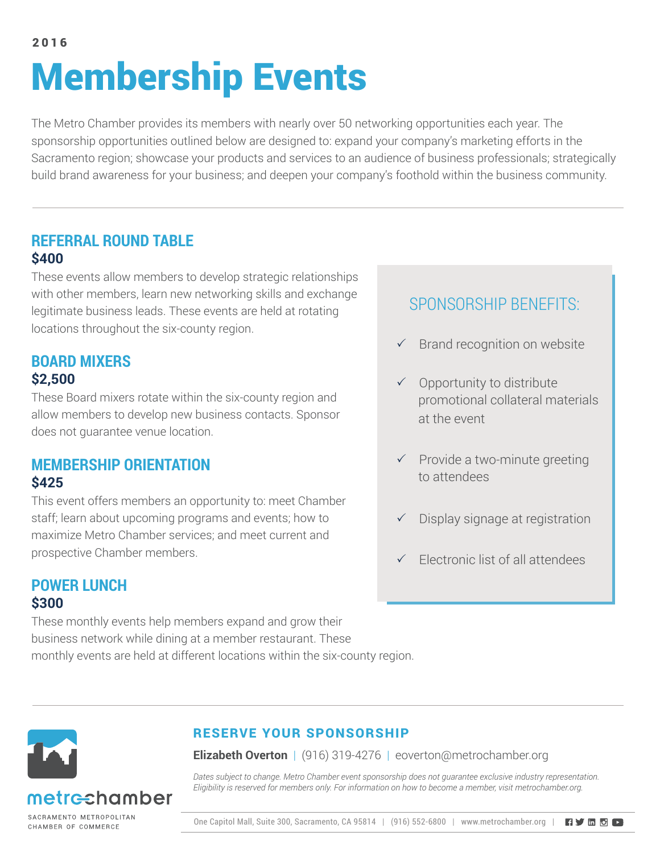### Membership Events 2016

The Metro Chamber provides its members with nearly over 50 networking opportunities each year. The sponsorship opportunities outlined below are designed to: expand your company's marketing efforts in the Sacramento region; showcase your products and services to an audience of business professionals; strategically build brand awareness for your business; and deepen your company's foothold within the business community.

#### **REFERRAL ROUND TABLE \$400**

These events allow members to develop strategic relationships with other members, learn new networking skills and exchange legitimate business leads. These events are held at rotating locations throughout the six-county region.

#### **BOARD MIXERS \$2,500**

These Board mixers rotate within the six-county region and allow members to develop new business contacts. Sponsor does not guarantee venue location.

#### **MEMBERSHIP ORIENTATION \$425**

This event offers members an opportunity to: meet Chamber staff; learn about upcoming programs and events; how to maximize Metro Chamber services; and meet current and prospective Chamber members.

### **POWER LUNCH \$300**

These monthly events help members expand and grow their business network while dining at a member restaurant. These monthly events are held at different locations within the six-county region.

### SPONSORSHIP BENEFITS:

- $\checkmark$  Brand recognition on website
- $\checkmark$  Opportunity to distribute promotional collateral materials at the event
- $\checkmark$  Provide a two-minute greeting to attendees
- $\checkmark$  Display signage at registration
- $\checkmark$  Electronic list of all attendees



### etrechamber

SACRAMENTO METROPOLITAN CHAMBER OF COMMERCE

#### RESERVE YOUR SPONSORSHIP

**Elizabeth Overton** | (916) 319-4276 | eoverton@metrochamber.org

*Dates subject to change. Metro Chamber event sponsorship does not guarantee exclusive industry representation. Eligibility is reserved for members only. For information on how to become a member, visit metrochamber.org.*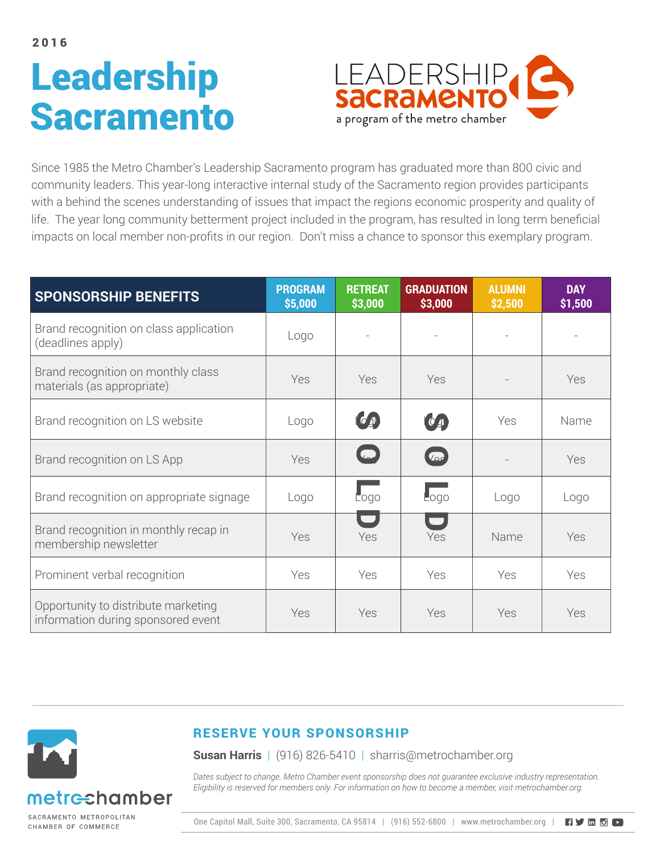# Leadership **Sacramento**



Since 1985 the Metro Chamber's Leadership Sacramento program has graduated more than 800 civic and community leaders. This year-long interactive internal study of the Sacramento region provides participants with a behind the scenes understanding of issues that impact the regions economic prosperity and quality of life. The year long community betterment project included in the program, has resulted in long term beneficial impacts on local member non-profits in our region. Don't miss a chance to sponsor this exemplary program.

| <b>SPONSORSHIP BENEFITS</b>                                               | <b>PROGRAM</b><br>\$5,000 | <b>RETREAT</b><br>\$3,000 | <b>GRADUATION</b><br>\$3,000 | <b>ALUMNI</b><br>\$2,500 | <b>DAY</b><br>\$1,500 |
|---------------------------------------------------------------------------|---------------------------|---------------------------|------------------------------|--------------------------|-----------------------|
| Brand recognition on class application<br>(deadlines apply)               | Logo                      |                           |                              |                          |                       |
| Brand recognition on monthly class<br>materials (as appropriate)          | Yes                       | Yes                       | Yes                          |                          | Yes                   |
| Brand recognition on LS website                                           | Logo                      | (6)                       | $(O_A)$                      | Yes                      | Name                  |
| Brand recognition on LS App                                               | Yes                       | $\Box$                    | $\sqrt{\Delta c}$            |                          | Yes                   |
| Brand recognition on appropriate signage                                  | Logo                      | L <sub>ogo</sub>          | L <sub>ogo</sub>             | Logo                     | Logo                  |
| Brand recognition in monthly recap in<br>membership newsletter            | Yes                       | $\Box$<br>Yes             | $\blacksquare$<br>Yes        | Name                     | Yes                   |
| Prominent verbal recognition                                              | Yes                       | Yes                       | Yes                          | Yes                      | Yes                   |
| Opportunity to distribute marketing<br>information during sponsored event | Yes                       | Yes                       | Yes                          | Yes                      | Yes                   |



SACRAMENTO METROPOLITAN CHAMBER OF COMMERCE

### RESERVE YOUR SPONSORSHIP

**Susan Harris** | (916) 826-5410 | sharris@metrochamber.org

*Dates subject to change. Metro Chamber event sponsorship does not guarantee exclusive industry representation. Eligibility is reserved for members only. For information on how to become a member, visit metrochamber.org.*